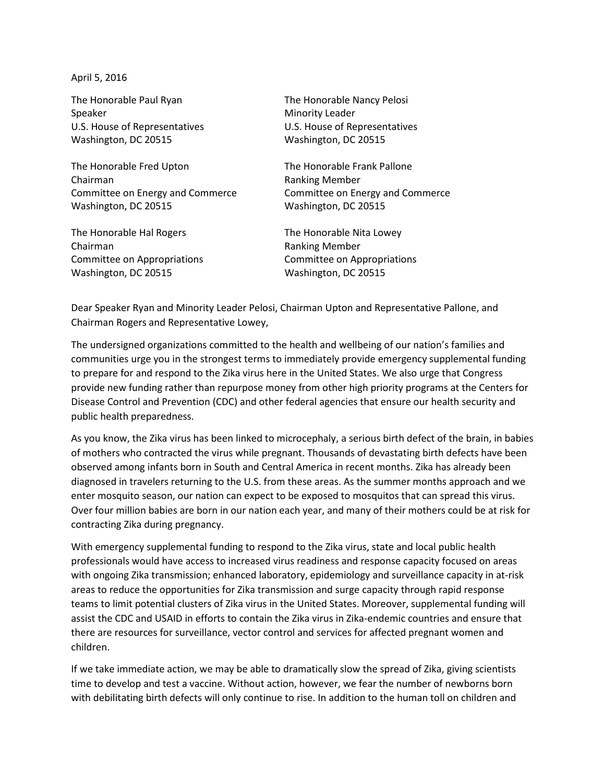April 5, 2016

The Honorable Paul Ryan The Honorable Nancy Pelosi Speaker **Minority Leader** Minority Leader Washington, DC 20515 Washington, DC 20515

The Honorable Fred Upton The Honorable Frank Pallone Chairman **Ranking Member** Ranking Member Washington, DC 20515 Washington, DC 20515

The Honorable Hal Rogers The Honorable Nita Lowey Chairman **Ranking Member** Ranking Member Committee on Appropriations Committee on Appropriations Washington, DC 20515 Washington, DC 20515

U.S. House of Representatives U.S. House of Representatives

Committee on Energy and Commerce Committee on Energy and Commerce

Dear Speaker Ryan and Minority Leader Pelosi, Chairman Upton and Representative Pallone, and Chairman Rogers and Representative Lowey,

The undersigned organizations committed to the health and wellbeing of our nation's families and communities urge you in the strongest terms to immediately provide emergency supplemental funding to prepare for and respond to the Zika virus here in the United States. We also urge that Congress provide new funding rather than repurpose money from other high priority programs at the Centers for Disease Control and Prevention (CDC) and other federal agencies that ensure our health security and public health preparedness.

As you know, the Zika virus has been linked to microcephaly, a serious birth defect of the brain, in babies of mothers who contracted the virus while pregnant. Thousands of devastating birth defects have been observed among infants born in South and Central America in recent months. Zika has already been diagnosed in travelers returning to the U.S. from these areas. As the summer months approach and we enter mosquito season, our nation can expect to be exposed to mosquitos that can spread this virus. Over four million babies are born in our nation each year, and many of their mothers could be at risk for contracting Zika during pregnancy.

With emergency supplemental funding to respond to the Zika virus, state and local public health professionals would have access to increased virus readiness and response capacity focused on areas with ongoing Zika transmission; enhanced laboratory, epidemiology and surveillance capacity in at-risk areas to reduce the opportunities for Zika transmission and surge capacity through rapid response teams to limit potential clusters of Zika virus in the United States. Moreover, supplemental funding will assist the CDC and USAID in efforts to contain the Zika virus in Zika-endemic countries and ensure that there are resources for surveillance, vector control and services for affected pregnant women and children.

If we take immediate action, we may be able to dramatically slow the spread of Zika, giving scientists time to develop and test a vaccine. Without action, however, we fear the number of newborns born with debilitating birth defects will only continue to rise. In addition to the human toll on children and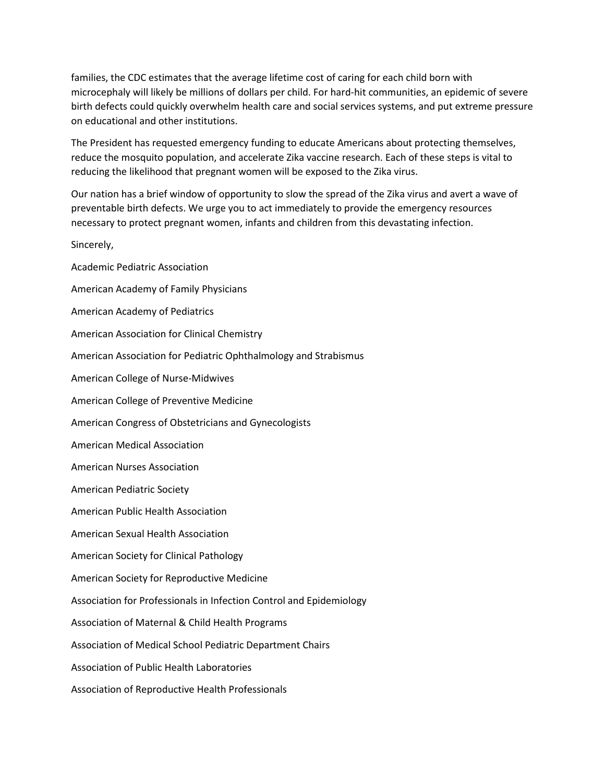families, the CDC estimates that the average lifetime cost of caring for each child born with microcephaly will likely be millions of dollars per child. For hard-hit communities, an epidemic of severe birth defects could quickly overwhelm health care and social services systems, and put extreme pressure on educational and other institutions.

The President has requested emergency funding to educate Americans about protecting themselves, reduce the mosquito population, and accelerate Zika vaccine research. Each of these steps is vital to reducing the likelihood that pregnant women will be exposed to the Zika virus.

Our nation has a brief window of opportunity to slow the spread of the Zika virus and avert a wave of preventable birth defects. We urge you to act immediately to provide the emergency resources necessary to protect pregnant women, infants and children from this devastating infection.

Sincerely,

Academic Pediatric Association American Academy of Family Physicians American Academy of Pediatrics American Association for Clinical Chemistry American Association for Pediatric Ophthalmology and Strabismus American College of Nurse-Midwives American College of Preventive Medicine American Congress of Obstetricians and Gynecologists American Medical Association American Nurses Association American Pediatric Society American Public Health Association American Sexual Health Association American Society for Clinical Pathology American Society for Reproductive Medicine Association for Professionals in Infection Control and Epidemiology Association of Maternal & Child Health Programs Association of Medical School Pediatric Department Chairs Association of Public Health Laboratories Association of Reproductive Health Professionals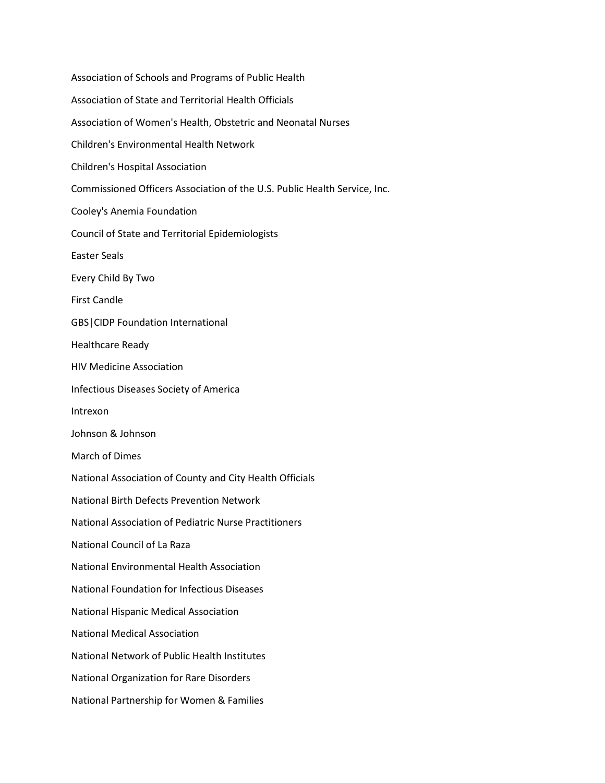Association of Schools and Programs of Public Health Association of State and Territorial Health Officials Association of Women's Health, Obstetric and Neonatal Nurses Children's Environmental Health Network Children's Hospital Association Commissioned Officers Association of the U.S. Public Health Service, Inc. Cooley's Anemia Foundation Council of State and Territorial Epidemiologists Easter Seals Every Child By Two First Candle GBS|CIDP Foundation International Healthcare Ready HIV Medicine Association Infectious Diseases Society of America Intrexon Johnson & Johnson March of Dimes National Association of County and City Health Officials National Birth Defects Prevention Network National Association of Pediatric Nurse Practitioners National Council of La Raza National Environmental Health Association National Foundation for Infectious Diseases National Hispanic Medical Association National Medical Association National Network of Public Health Institutes National Organization for Rare Disorders National Partnership for Women & Families